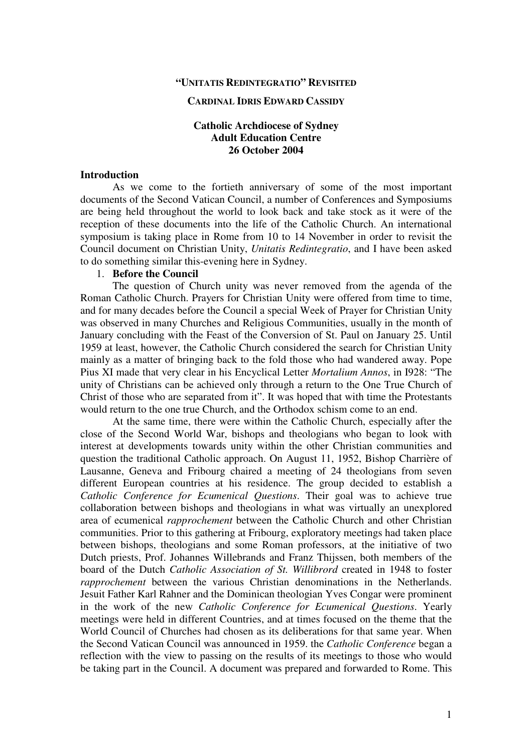#### **"UNITATIS REDINTEGRATIO" REVISITED**

### **CARDINAL IDRIS EDWARD CASSIDY**

# **Catholic Archdiocese of Sydney Adult Education Centre 26 October 2004**

### **Introduction**

 As we come to the fortieth anniversary of some of the most important documents of the Second Vatican Council, a number of Conferences and Symposiums are being held throughout the world to look back and take stock as it were of the reception of these documents into the life of the Catholic Church. An international symposium is taking place in Rome from 10 to 14 November in order to revisit the Council document on Christian Unity, *Unitatis Redintegratio*, and I have been asked to do something similar this-evening here in Sydney.

## 1. **Before the Council**

The question of Church unity was never removed from the agenda of the Roman Catholic Church. Prayers for Christian Unity were offered from time to time, and for many decades before the Council a special Week of Prayer for Christian Unity was observed in many Churches and Religious Communities, usually in the month of January concluding with the Feast of the Conversion of St. Paul on January 25. Until 1959 at least, however, the Catholic Church considered the search for Christian Unity mainly as a matter of bringing back to the fold those who had wandered away. Pope Pius XI made that very clear in his Encyclical Letter *Mortalium Annos*, in I928: "The unity of Christians can be achieved only through a return to the One True Church of Christ of those who are separated from it". It was hoped that with time the Protestants would return to the one true Church, and the Orthodox schism come to an end.

At the same time, there were within the Catholic Church, especially after the close of the Second World War, bishops and theologians who began to look with interest at developments towards unity within the other Christian communities and question the traditional Catholic approach. On August 11, 1952, Bishop Charrière of Lausanne, Geneva and Fribourg chaired a meeting of 24 theologians from seven different European countries at his residence. The group decided to establish a *Catholic Conference for Ecumenical Questions*. Their goal was to achieve true collaboration between bishops and theologians in what was virtually an unexplored area of ecumenical *rapprochement* between the Catholic Church and other Christian communities. Prior to this gathering at Fribourg, exploratory meetings had taken place between bishops, theologians and some Roman professors, at the initiative of two Dutch priests, Prof. Johannes Willebrands and Franz Thijssen, both members of the board of the Dutch *Catholic Association of St. Willibrord* created in 1948 to foster *rapprochement* between the various Christian denominations in the Netherlands. Jesuit Father Karl Rahner and the Dominican theologian Yves Congar were prominent in the work of the new *Catholic Conference for Ecumenical Questions*. Yearly meetings were held in different Countries, and at times focused on the theme that the World Council of Churches had chosen as its deliberations for that same year. When the Second Vatican Council was announced in 1959. the *Catholic Conference* began a reflection with the view to passing on the results of its meetings to those who would be taking part in the Council. A document was prepared and forwarded to Rome. This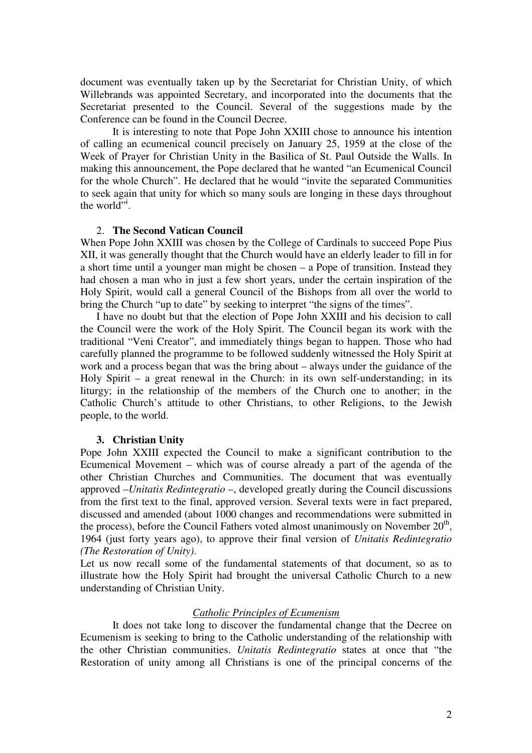document was eventually taken up by the Secretariat for Christian Unity, of which Willebrands was appointed Secretary, and incorporated into the documents that the Secretariat presented to the Council. Several of the suggestions made by the Conference can be found in the Council Decree.

It is interesting to note that Pope John XXIII chose to announce his intention of calling an ecumenical council precisely on January 25, 1959 at the close of the Week of Prayer for Christian Unity in the Basilica of St. Paul Outside the Walls. In making this announcement, the Pope declared that he wanted "an Ecumenical Council for the whole Church". He declared that he would "invite the separated Communities to seek again that unity for which so many souls are longing in these days throughout the world".

## 2. **The Second Vatican Council**

When Pope John XXIII was chosen by the College of Cardinals to succeed Pope Pius XII, it was generally thought that the Church would have an elderly leader to fill in for a short time until a younger man might be chosen – a Pope of transition. Instead they had chosen a man who in just a few short years, under the certain inspiration of the Holy Spirit, would call a general Council of the Bishops from all over the world to bring the Church "up to date" by seeking to interpret "the signs of the times".

I have no doubt but that the election of Pope John XXIII and his decision to call the Council were the work of the Holy Spirit. The Council began its work with the traditional "Veni Creator", and immediately things began to happen. Those who had carefully planned the programme to be followed suddenly witnessed the Holy Spirit at work and a process began that was the bring about – always under the guidance of the Holy Spirit – a great renewal in the Church: in its own self-understanding; in its liturgy; in the relationship of the members of the Church one to another; in the Catholic Church's attitude to other Christians, to other Religions, to the Jewish people, to the world.

## **3. Christian Unity**

Pope John XXIII expected the Council to make a significant contribution to the Ecumenical Movement – which was of course already a part of the agenda of the other Christian Churches and Communities. The document that was eventually approved –*Unitatis Redintegratio* –, developed greatly during the Council discussions from the first text to the final, approved version. Several texts were in fact prepared, discussed and amended (about 1000 changes and recommendations were submitted in the process), before the Council Fathers voted almost unanimously on November  $20<sup>th</sup>$ , 1964 (just forty years ago), to approve their final version of *Unitatis Redintegratio (The Restoration of Unity)*.

Let us now recall some of the fundamental statements of that document, so as to illustrate how the Holy Spirit had brought the universal Catholic Church to a new understanding of Christian Unity.

# *Catholic Principles of Ecumenism*

It does not take long to discover the fundamental change that the Decree on Ecumenism is seeking to bring to the Catholic understanding of the relationship with the other Christian communities. *Unitatis Redintegratio* states at once that "the Restoration of unity among all Christians is one of the principal concerns of the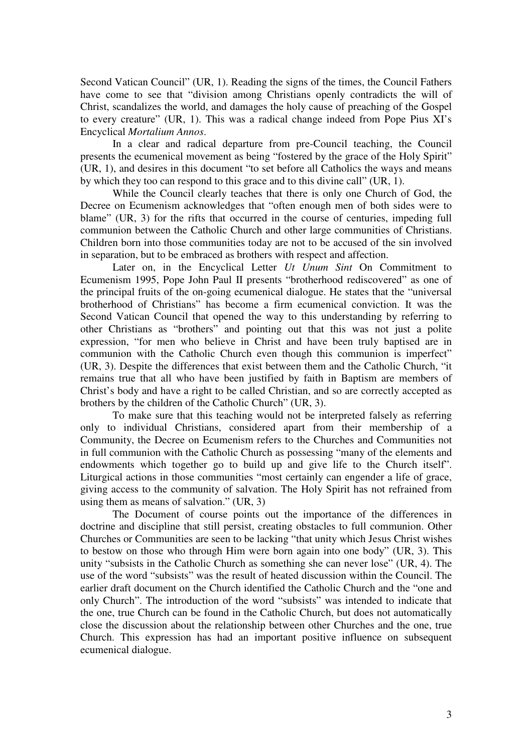Second Vatican Council" (UR, 1). Reading the signs of the times, the Council Fathers have come to see that "division among Christians openly contradicts the will of Christ, scandalizes the world, and damages the holy cause of preaching of the Gospel to every creature" (UR, 1). This was a radical change indeed from Pope Pius XI's Encyclical *Mortalium Annos*.

In a clear and radical departure from pre-Council teaching, the Council presents the ecumenical movement as being "fostered by the grace of the Holy Spirit" (UR, 1), and desires in this document "to set before all Catholics the ways and means by which they too can respond to this grace and to this divine call" (UR, 1).

While the Council clearly teaches that there is only one Church of God, the Decree on Ecumenism acknowledges that "often enough men of both sides were to blame" (UR, 3) for the rifts that occurred in the course of centuries, impeding full communion between the Catholic Church and other large communities of Christians. Children born into those communities today are not to be accused of the sin involved in separation, but to be embraced as brothers with respect and affection.

Later on, in the Encyclical Letter *Ut Unum Sint* On Commitment to Ecumenism 1995, Pope John Paul II presents "brotherhood rediscovered" as one of the principal fruits of the on-going ecumenical dialogue. He states that the "universal brotherhood of Christians" has become a firm ecumenical conviction. It was the Second Vatican Council that opened the way to this understanding by referring to other Christians as "brothers" and pointing out that this was not just a polite expression, "for men who believe in Christ and have been truly baptised are in communion with the Catholic Church even though this communion is imperfect" (UR, 3). Despite the differences that exist between them and the Catholic Church, "it remains true that all who have been justified by faith in Baptism are members of Christ's body and have a right to be called Christian, and so are correctly accepted as brothers by the children of the Catholic Church" (UR, 3).

To make sure that this teaching would not be interpreted falsely as referring only to individual Christians, considered apart from their membership of a Community, the Decree on Ecumenism refers to the Churches and Communities not in full communion with the Catholic Church as possessing "many of the elements and endowments which together go to build up and give life to the Church itself". Liturgical actions in those communities "most certainly can engender a life of grace, giving access to the community of salvation. The Holy Spirit has not refrained from using them as means of salvation." (UR, 3)

The Document of course points out the importance of the differences in doctrine and discipline that still persist, creating obstacles to full communion. Other Churches or Communities are seen to be lacking "that unity which Jesus Christ wishes to bestow on those who through Him were born again into one body" (UR, 3). This unity "subsists in the Catholic Church as something she can never lose" (UR, 4). The use of the word "subsists" was the result of heated discussion within the Council. The earlier draft document on the Church identified the Catholic Church and the "one and only Church". The introduction of the word "subsists" was intended to indicate that the one, true Church can be found in the Catholic Church, but does not automatically close the discussion about the relationship between other Churches and the one, true Church. This expression has had an important positive influence on subsequent ecumenical dialogue.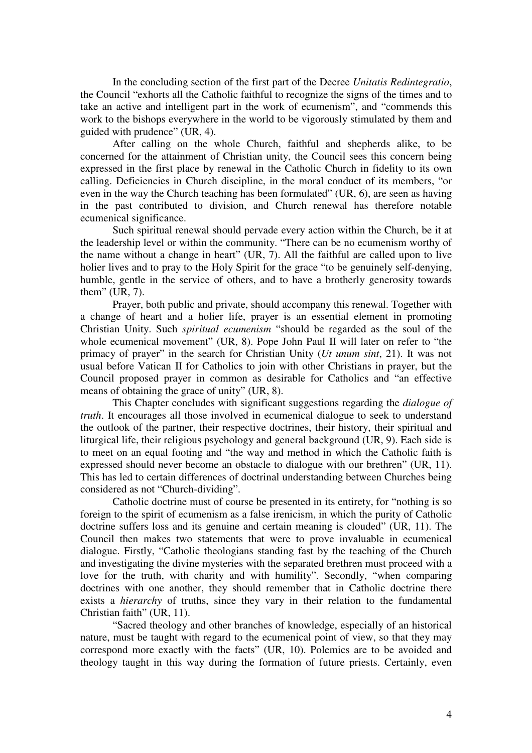In the concluding section of the first part of the Decree *Unitatis Redintegratio*, the Council "exhorts all the Catholic faithful to recognize the signs of the times and to take an active and intelligent part in the work of ecumenism", and "commends this work to the bishops everywhere in the world to be vigorously stimulated by them and guided with prudence" (UR, 4).

After calling on the whole Church, faithful and shepherds alike, to be concerned for the attainment of Christian unity, the Council sees this concern being expressed in the first place by renewal in the Catholic Church in fidelity to its own calling. Deficiencies in Church discipline, in the moral conduct of its members, "or even in the way the Church teaching has been formulated" (UR, 6), are seen as having in the past contributed to division, and Church renewal has therefore notable ecumenical significance.

 Such spiritual renewal should pervade every action within the Church, be it at the leadership level or within the community. "There can be no ecumenism worthy of the name without a change in heart" (UR, 7). All the faithful are called upon to live holier lives and to pray to the Holy Spirit for the grace "to be genuinely self-denying, humble, gentle in the service of others, and to have a brotherly generosity towards them" (UR, 7).

 Prayer, both public and private, should accompany this renewal. Together with a change of heart and a holier life, prayer is an essential element in promoting Christian Unity. Such *spiritual ecumenism* "should be regarded as the soul of the whole ecumenical movement" (UR, 8). Pope John Paul II will later on refer to "the primacy of prayer" in the search for Christian Unity (*Ut unum sint*, 21). It was not usual before Vatican II for Catholics to join with other Christians in prayer, but the Council proposed prayer in common as desirable for Catholics and "an effective means of obtaining the grace of unity" (UR, 8).

 This Chapter concludes with significant suggestions regarding the *dialogue of truth*. It encourages all those involved in ecumenical dialogue to seek to understand the outlook of the partner, their respective doctrines, their history, their spiritual and liturgical life, their religious psychology and general background (UR, 9). Each side is to meet on an equal footing and "the way and method in which the Catholic faith is expressed should never become an obstacle to dialogue with our brethren" (UR, 11). This has led to certain differences of doctrinal understanding between Churches being considered as not "Church-dividing".

 Catholic doctrine must of course be presented in its entirety, for "nothing is so foreign to the spirit of ecumenism as a false irenicism, in which the purity of Catholic doctrine suffers loss and its genuine and certain meaning is clouded" (UR, 11). The Council then makes two statements that were to prove invaluable in ecumenical dialogue. Firstly, "Catholic theologians standing fast by the teaching of the Church and investigating the divine mysteries with the separated brethren must proceed with a love for the truth, with charity and with humility". Secondly, "when comparing doctrines with one another, they should remember that in Catholic doctrine there exists a *hierarchy* of truths, since they vary in their relation to the fundamental Christian faith" (UR, 11).

 "Sacred theology and other branches of knowledge, especially of an historical nature, must be taught with regard to the ecumenical point of view, so that they may correspond more exactly with the facts" (UR, 10). Polemics are to be avoided and theology taught in this way during the formation of future priests. Certainly, even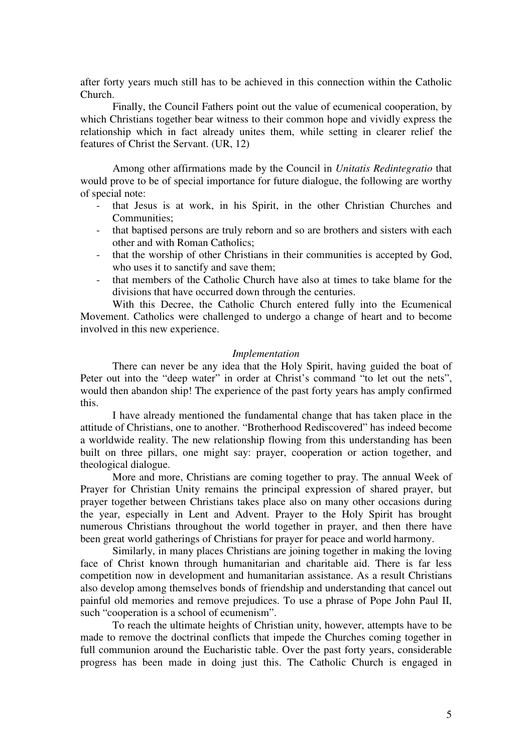after forty years much still has to be achieved in this connection within the Catholic Church.

 Finally, the Council Fathers point out the value of ecumenical cooperation, by which Christians together bear witness to their common hope and vividly express the relationship which in fact already unites them, while setting in clearer relief the features of Christ the Servant. (UR, 12)

Among other affirmations made by the Council in *Unitatis Redintegratio* that would prove to be of special importance for future dialogue, the following are worthy of special note:

- that Jesus is at work, in his Spirit, in the other Christian Churches and Communities;
- that baptised persons are truly reborn and so are brothers and sisters with each other and with Roman Catholics;
- that the worship of other Christians in their communities is accepted by God, who uses it to sanctify and save them;
- that members of the Catholic Church have also at times to take blame for the divisions that have occurred down through the centuries.

With this Decree, the Catholic Church entered fully into the Ecumenical Movement. Catholics were challenged to undergo a change of heart and to become involved in this new experience.

### *Implementation*

 There can never be any idea that the Holy Spirit, having guided the boat of Peter out into the "deep water" in order at Christ's command "to let out the nets", would then abandon ship! The experience of the past forty years has amply confirmed this.

 I have already mentioned the fundamental change that has taken place in the attitude of Christians, one to another. "Brotherhood Rediscovered" has indeed become a worldwide reality. The new relationship flowing from this understanding has been built on three pillars, one might say: prayer, cooperation or action together, and theological dialogue.

 More and more, Christians are coming together to pray. The annual Week of Prayer for Christian Unity remains the principal expression of shared prayer, but prayer together between Christians takes place also on many other occasions during the year, especially in Lent and Advent. Prayer to the Holy Spirit has brought numerous Christians throughout the world together in prayer, and then there have been great world gatherings of Christians for prayer for peace and world harmony.

 Similarly, in many places Christians are joining together in making the loving face of Christ known through humanitarian and charitable aid. There is far less competition now in development and humanitarian assistance. As a result Christians also develop among themselves bonds of friendship and understanding that cancel out painful old memories and remove prejudices. To use a phrase of Pope John Paul II, such "cooperation is a school of ecumenism".

 To reach the ultimate heights of Christian unity, however, attempts have to be made to remove the doctrinal conflicts that impede the Churches coming together in full communion around the Eucharistic table. Over the past forty years, considerable progress has been made in doing just this. The Catholic Church is engaged in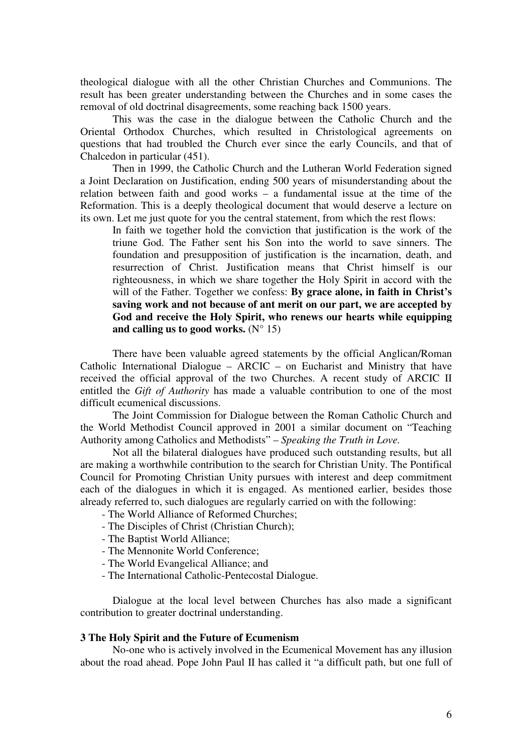theological dialogue with all the other Christian Churches and Communions. The result has been greater understanding between the Churches and in some cases the removal of old doctrinal disagreements, some reaching back 1500 years.

 This was the case in the dialogue between the Catholic Church and the Oriental Orthodox Churches, which resulted in Christological agreements on questions that had troubled the Church ever since the early Councils, and that of Chalcedon in particular (451).

Then in 1999, the Catholic Church and the Lutheran World Federation signed a Joint Declaration on Justification, ending 500 years of misunderstanding about the relation between faith and good works – a fundamental issue at the time of the Reformation. This is a deeply theological document that would deserve a lecture on its own. Let me just quote for you the central statement, from which the rest flows:

In faith we together hold the conviction that justification is the work of the triune God. The Father sent his Son into the world to save sinners. The foundation and presupposition of justification is the incarnation, death, and resurrection of Christ. Justification means that Christ himself is our righteousness, in which we share together the Holy Spirit in accord with the will of the Father. Together we confess: **By grace alone, in faith in Christ's saving work and not because of ant merit on our part, we are accepted by God and receive the Holy Spirit, who renews our hearts while equipping**  and calling us to good works.  $(N^{\circ} 15)$ 

There have been valuable agreed statements by the official Anglican/Roman Catholic International Dialogue – ARCIC – on Eucharist and Ministry that have received the official approval of the two Churches. A recent study of ARCIC II entitled the *Gift of Authority* has made a valuable contribution to one of the most difficult ecumenical discussions.

The Joint Commission for Dialogue between the Roman Catholic Church and the World Methodist Council approved in 2001 a similar document on "Teaching Authority among Catholics and Methodists" – *Speaking the Truth in Love.* 

Not all the bilateral dialogues have produced such outstanding results, but all are making a worthwhile contribution to the search for Christian Unity. The Pontifical Council for Promoting Christian Unity pursues with interest and deep commitment each of the dialogues in which it is engaged. As mentioned earlier, besides those already referred to, such dialogues are regularly carried on with the following:

- The World Alliance of Reformed Churches;
- The Disciples of Christ (Christian Church);
- The Baptist World Alliance;
- The Mennonite World Conference;
- The World Evangelical Alliance; and
- The International Catholic-Pentecostal Dialogue.

Dialogue at the local level between Churches has also made a significant contribution to greater doctrinal understanding.

### **3 The Holy Spirit and the Future of Ecumenism**

 No-one who is actively involved in the Ecumenical Movement has any illusion about the road ahead. Pope John Paul II has called it "a difficult path, but one full of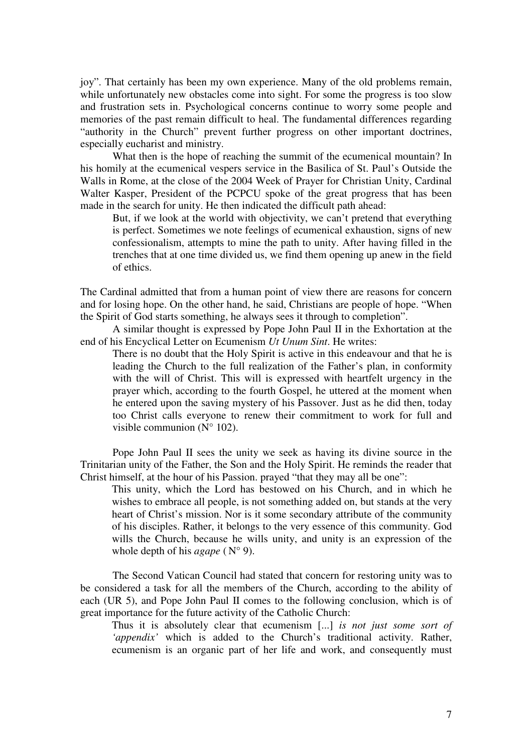joy". That certainly has been my own experience. Many of the old problems remain, while unfortunately new obstacles come into sight. For some the progress is too slow and frustration sets in. Psychological concerns continue to worry some people and memories of the past remain difficult to heal. The fundamental differences regarding "authority in the Church" prevent further progress on other important doctrines, especially eucharist and ministry.

What then is the hope of reaching the summit of the ecumenical mountain? In his homily at the ecumenical vespers service in the Basilica of St. Paul's Outside the Walls in Rome, at the close of the 2004 Week of Prayer for Christian Unity, Cardinal Walter Kasper, President of the PCPCU spoke of the great progress that has been made in the search for unity. He then indicated the difficult path ahead:

But, if we look at the world with objectivity, we can't pretend that everything is perfect. Sometimes we note feelings of ecumenical exhaustion, signs of new confessionalism, attempts to mine the path to unity. After having filled in the trenches that at one time divided us, we find them opening up anew in the field of ethics.

The Cardinal admitted that from a human point of view there are reasons for concern and for losing hope. On the other hand, he said, Christians are people of hope. "When the Spirit of God starts something, he always sees it through to completion".

 A similar thought is expressed by Pope John Paul II in the Exhortation at the end of his Encyclical Letter on Ecumenism *Ut Unum Sint*. He writes:

There is no doubt that the Holy Spirit is active in this endeavour and that he is leading the Church to the full realization of the Father's plan, in conformity with the will of Christ. This will is expressed with heartfelt urgency in the prayer which, according to the fourth Gospel, he uttered at the moment when he entered upon the saving mystery of his Passover. Just as he did then, today too Christ calls everyone to renew their commitment to work for full and visible communion (N° 102).

 Pope John Paul II sees the unity we seek as having its divine source in the Trinitarian unity of the Father, the Son and the Holy Spirit. He reminds the reader that Christ himself, at the hour of his Passion. prayed "that they may all be one":

This unity, which the Lord has bestowed on his Church, and in which he wishes to embrace all people, is not something added on, but stands at the very heart of Christ's mission. Nor is it some secondary attribute of the community of his disciples. Rather, it belongs to the very essence of this community. God wills the Church, because he wills unity, and unity is an expression of the whole depth of his *agape* ( N° 9).

 The Second Vatican Council had stated that concern for restoring unity was to be considered a task for all the members of the Church, according to the ability of each (UR 5), and Pope John Paul II comes to the following conclusion, which is of great importance for the future activity of the Catholic Church:

Thus it is absolutely clear that ecumenism [...] *is not just some sort of 'appendix'* which is added to the Church's traditional activity. Rather, ecumenism is an organic part of her life and work, and consequently must